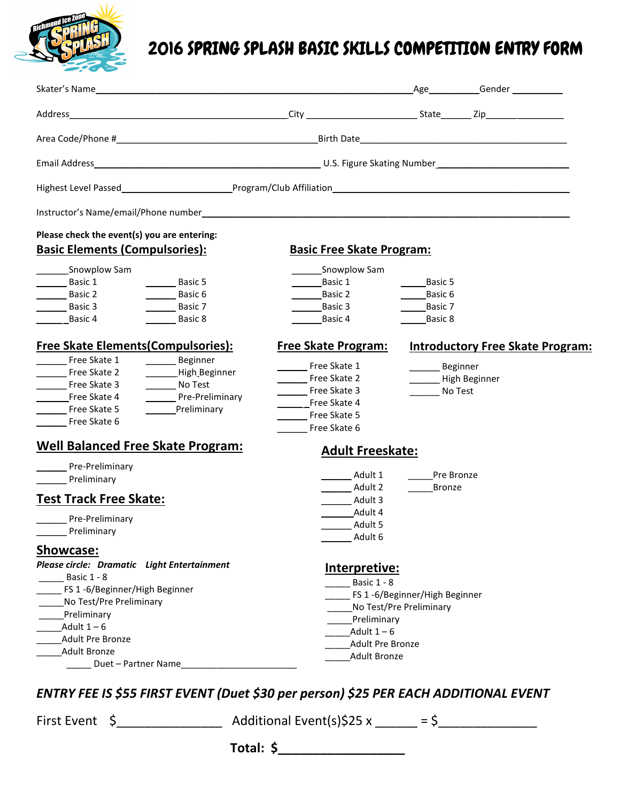

## 2016 SPRING SPLASH BASIC SKILLS COMPETITION ENTRY FORM

|                                                                     |                     |                                                                                            |                               | Age Gender                              |  |
|---------------------------------------------------------------------|---------------------|--------------------------------------------------------------------------------------------|-------------------------------|-----------------------------------------|--|
|                                                                     |                     |                                                                                            |                               |                                         |  |
|                                                                     |                     |                                                                                            |                               |                                         |  |
|                                                                     |                     |                                                                                            |                               |                                         |  |
|                                                                     |                     |                                                                                            |                               |                                         |  |
|                                                                     |                     |                                                                                            |                               |                                         |  |
| Please check the event(s) you are entering:                         |                     |                                                                                            |                               |                                         |  |
| <b>Basic Elements (Compulsories):</b>                               |                     | <b>Basic Free Skate Program:</b>                                                           |                               |                                         |  |
| Snowplow Sam                                                        |                     | Snowplow Sam                                                                               |                               |                                         |  |
| Basic 1                                                             | Basic 5             | Basic 1                                                                                    | Basic 5                       |                                         |  |
| Basic 2                                                             | Basic 6             | Basic 2                                                                                    | Basic 6                       |                                         |  |
| Basic 3                                                             | Basic 7             | Basic 3                                                                                    | Basic 7                       |                                         |  |
| Basic 4                                                             | Basic 8             | Basic 4                                                                                    | Basic 8                       |                                         |  |
| <b>Free Skate Elements (Compulsories):</b>                          |                     | <b>Free Skate Program:</b>                                                                 |                               | <b>Introductory Free Skate Program:</b> |  |
| Free Skate 1                                                        | Beginner            | Free Skate 1                                                                               | _______ Beginner              |                                         |  |
| Free Skate 2                                                        | High Beginner       | Free Skate 2                                                                               | High Beginner                 |                                         |  |
| Free Skate 3                                                        | No Test             | Free Skate 3                                                                               | ________ No Test              |                                         |  |
| Free Skate 4                                                        | Pre-Preliminary     | Free Skate 4                                                                               |                               |                                         |  |
| _________ Free Skate 5                                              | Preliminary         | Free Skate 5                                                                               |                               |                                         |  |
| Free Skate 6                                                        |                     | <b>Free Skate 6</b>                                                                        |                               |                                         |  |
| <b>Well Balanced Free Skate Program:</b><br><b>Adult Freeskate:</b> |                     |                                                                                            |                               |                                         |  |
| Pre-Preliminary                                                     |                     |                                                                                            |                               |                                         |  |
| Preliminary                                                         |                     | Adult 1                                                                                    | Pre Bronze                    |                                         |  |
|                                                                     |                     | Adult 2                                                                                    | <b>Bronze</b>                 |                                         |  |
| <b>Test Track Free Skate:</b>                                       |                     | Adult 3                                                                                    |                               |                                         |  |
| Pre-Preliminary                                                     |                     | __________Adult 4                                                                          |                               |                                         |  |
| Preliminary                                                         |                     | Adult 5                                                                                    |                               |                                         |  |
| <b>Showcase:</b>                                                    |                     | Adult 6                                                                                    |                               |                                         |  |
|                                                                     |                     |                                                                                            |                               |                                         |  |
| Please circle: Dramatic Light Entertainment                         |                     | Interpretive:                                                                              |                               |                                         |  |
| <b>Basic 1 - 8</b>                                                  |                     | Basic 1 - 8                                                                                |                               |                                         |  |
| FS 1-6/Beginner/High Beginner                                       |                     |                                                                                            | FS 1-6/Beginner/High Beginner |                                         |  |
| No Test/Pre Preliminary                                             |                     | No Test/Pre Preliminary                                                                    |                               |                                         |  |
| Preliminary                                                         |                     | Preliminary                                                                                |                               |                                         |  |
| Adult $1-6$                                                         |                     | Adult 1 – 6                                                                                |                               |                                         |  |
| Adult Pre Bronze                                                    |                     | Adult Pre Bronze                                                                           |                               |                                         |  |
| <b>Adult Bronze</b>                                                 |                     | <b>Adult Bronze</b>                                                                        |                               |                                         |  |
|                                                                     | Duet - Partner Name |                                                                                            |                               |                                         |  |
|                                                                     |                     | <b>FNTRV FFF IS \$55 FIRST FVFNT (Duet \$30 ner nerson) \$25 PFR FACH ADDITIONAL FVFNT</b> |                               |                                         |  |

*ENTRY FEE IS \$55 FIRST EVENT (Duet \$30 per person) \$25 PER EACH ADDITIONAL EVENT* 

First Event  $\begin{array}{c} \xi \end{array}$  Additional Event(s)\$25 x \_\_\_\_\_ = \$\_\_\_\_\_\_\_\_\_\_\_\_\_\_\_\_\_

 **Total: \$\_\_\_\_\_\_\_\_\_\_\_\_\_\_\_\_\_\_**